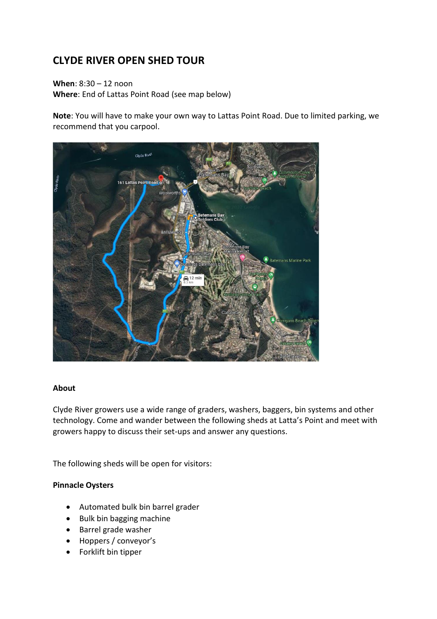# **CLYDE RIVER OPEN SHED TOUR**

**When**: 8:30 – 12 noon **Where**: End of Lattas Point Road (see map below)

**Note**: You will have to make your own way to Lattas Point Road. Due to limited parking, we recommend that you carpool.



#### **About**

Clyde River growers use a wide range of graders, washers, baggers, bin systems and other technology. Come and wander between the following sheds at Latta's Point and meet with growers happy to discuss their set-ups and answer any questions.

The following sheds will be open for visitors:

#### **Pinnacle Oysters**

- Automated bulk bin barrel grader
- Bulk bin bagging machine
- Barrel grade washer
- Hoppers / conveyor's
- Forklift bin tipper